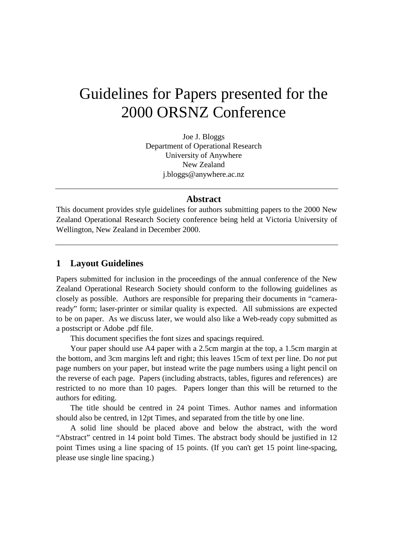# Guidelines for Papers presented for the 2000 ORSNZ Conference

Joe J. Bloggs Department of Operational Research University of Anywhere New Zealand j.bloggs@anywhere.ac.nz

# **Abstract**

This document provides style guidelines for authors submitting papers to the 2000 New Zealand Operational Research Society conference being held at Victoria University of Wellington, New Zealand in December 2000.

#### **1 Layout Guidelines**

Papers submitted for inclusion in the proceedings of the annual conference of the New Zealand Operational Research Society should conform to the following guidelines as closely as possible. Authors are responsible for preparing their documents in "cameraready" form; laser-printer or similar quality is expected. All submissions are expected to be on paper. As we discuss later, we would also like a Web-ready copy submitted as a postscript or Adobe .pdf file.

This document specifies the font sizes and spacings required.

Your paper should use A4 paper with a 2.5cm margin at the top, a 1.5cm margin at the bottom, and 3cm margins left and right; this leaves 15cm of text per line. Do *not* put page numbers on your paper, but instead write the page numbers using a light pencil on the reverse of each page. Papers (including abstracts, tables, figures and references) are restricted to no more than 10 pages. Papers longer than this will be returned to the authors for editing.

The title should be centred in 24 point Times. Author names and information should also be centred, in 12pt Times, and separated from the title by one line.

A solid line should be placed above and below the abstract, with the word "Abstract" centred in 14 point bold Times. The abstract body should be justified in 12 point Times using a line spacing of 15 points. (If you can't get 15 point line-spacing, please use single line spacing.)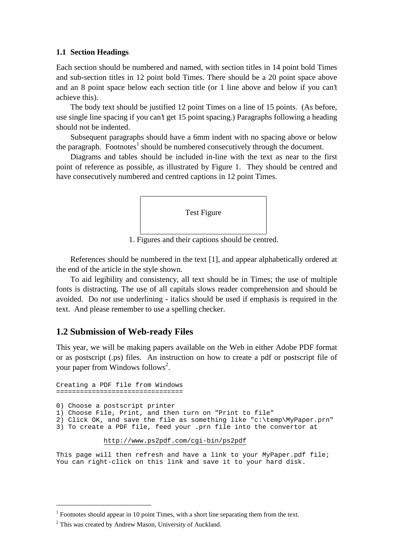#### **1.1 Section Headings**

Each section should be numbered and named, with section titles in 14 point bold Times and sub-section titles in 12 point bold Times. There should be a 20 point space above and an 8 point space below each section title (or 1 line above and below if you can't achieve this).

The body text should be justified 12 point Times on a line of 15 points. (As before, use single line spacing if you can't get 15 point spacing.) Paragraphs following a heading should not be indented.

Subsequent paragraphs should have a 6mm indent with no spacing above or below the paragraph. Footnotes<sup>1</sup> should be numbered consecutively through the document.

Diagrams and tables should be included in-line with the text as near to the first point of reference as possible, as illustrated by Figure 1. They should be centred and have consecutively numbered and centred captions in 12 point Times.



1. Figures and their captions should be centred.

References should be numbered in the text [1], and appear alphabetically ordered at the end of the article in the style shown.

To aid legibility and consistency, all text should be in Times; the use of multiple fonts is distracting. The use of all capitals slows reader comprehension and should be avoided. Do *not* use underlining - italics should be used if emphasis is required in the text. And please remember to use a spelling checker.

## **1.2 Submission of Web-ready Files**

This year, we will be making papers available on the Web in either Adobe PDF format or as postscript (.ps) files. An instruction on how to create a pdf or postscript file of your paper from Windows follows<sup>2</sup>.

Creating a PDF file from Windows ================================ 0) Choose a postscript printer 1) Choose File, Print, and then turn on "Print to file" 2) Click OK, and save the file as something like "c:\temp\MyPaper.prn" 3) To create a PDF file, feed your .prn file into the convertor at

http://www.ps2pdf.com/cgi-bin/ps2pdf

This page will then refresh and have a link to your MyPaper.pdf file; You can right-click on this link and save it to your hard disk.

 $\overline{a}$ 

 $<sup>1</sup>$  Footnotes should appear in 10 point Times, with a short line separating them from the text.</sup>

<sup>&</sup>lt;sup>2</sup> This was created by Andrew Mason, University of Auckland.